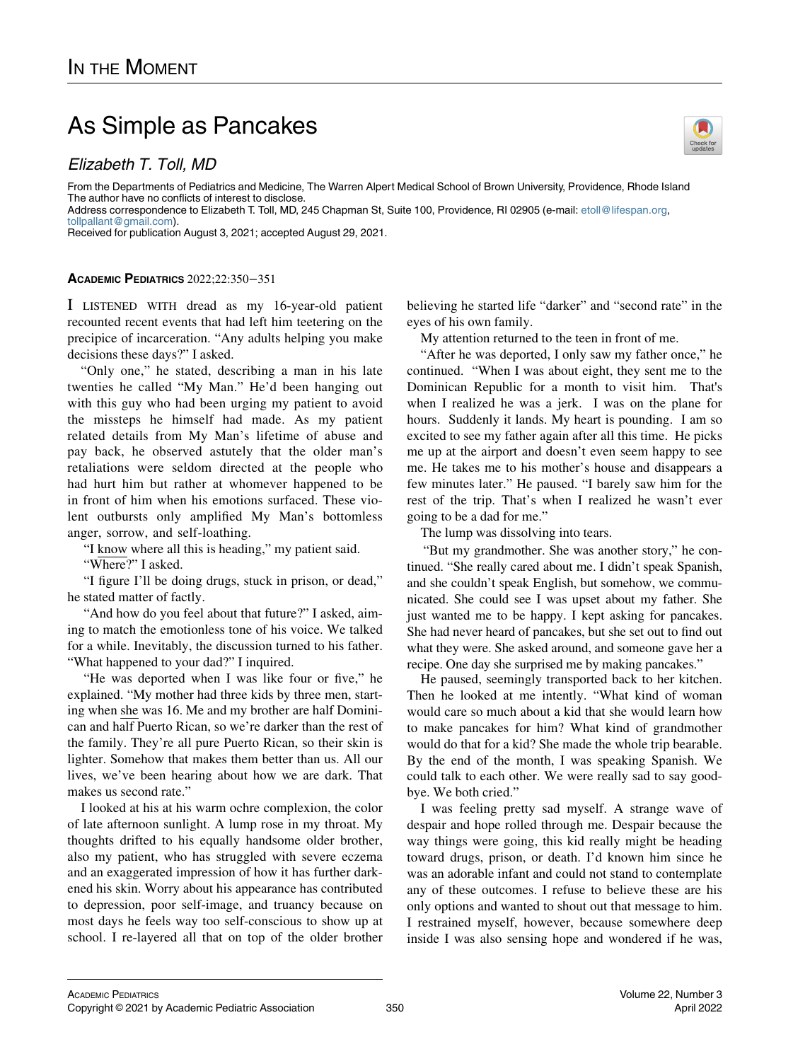## As Simple as Pancakes

## Elizabeth T. Toll, MD

From the Departments of Pediatrics and Medicine, The Warren Alpert Medical School of Brown University, Providence, Rhode Island The author have no conflicts of interest to disclose.

Address correspondence to Elizabeth T. Toll, MD, 245 Chapman St, Suite 100, Providence, RI 02905 (e-mail: [etoll@lifespan.org](mailto:etoll@lifespan.org), [tollpallant@gmail.com\)](mailto:tollpallant@gmail.com).

Received for publication August 3, 2021; accepted August 29, 2021.

## ACADEMIC PEDIATRICS 2022;22:350−351

I LISTENED WITH dread as my 16-year-old patient recounted recent events that had left him teetering on the precipice of incarceration. "Any adults helping you make decisions these days?" I asked.

"Only one," he stated, describing a man in his late twenties he called "My Man." He'd been hanging out with this guy who had been urging my patient to avoid the missteps he himself had made. As my patient related details from My Man's lifetime of abuse and pay back, he observed astutely that the older man's retaliations were seldom directed at the people who had hurt him but rather at whomever happened to be in front of him when his emotions surfaced. These violent outbursts only amplified My Man's bottomless anger, sorrow, and self-loathing.

"I know where all this is heading," my patient said.

"Where?" I asked.

"I figure I'll be doing drugs, stuck in prison, or dead," he stated matter of factly.

"And how do you feel about that future?" I asked, aiming to match the emotionless tone of his voice. We talked for a while. Inevitably, the discussion turned to his father. "What happened to your dad?" I inquired.

"He was deported when I was like four or five," he explained. "My mother had three kids by three men, starting when she was 16. Me and my brother are half Dominican and half Puerto Rican, so we're darker than the rest of the family. They're all pure Puerto Rican, so their skin is lighter. Somehow that makes them better than us. All our lives, we've been hearing about how we are dark. That makes us second rate."

I looked at his at his warm ochre complexion, the color of late afternoon sunlight. A lump rose in my throat. My thoughts drifted to his equally handsome older brother, also my patient, who has struggled with severe eczema and an exaggerated impression of how it has further darkened his skin. Worry about his appearance has contributed to depression, poor self-image, and truancy because on most days he feels way too self-conscious to show up at school. I re-layered all that on top of the older brother believing he started life "darker" and "second rate" in the eyes of his own family.

My attention returned to the teen in front of me.

"After he was deported, I only saw my father once," he continued. "When I was about eight, they sent me to the Dominican Republic for a month to visit him. That's when I realized he was a jerk. I was on the plane for hours. Suddenly it lands. My heart is pounding. I am so excited to see my father again after all this time. He picks me up at the airport and doesn't even seem happy to see me. He takes me to his mother's house and disappears a few minutes later." He paused. "I barely saw him for the rest of the trip. That's when I realized he wasn't ever going to be a dad for me."

The lump was dissolving into tears.

"But my grandmother. She was another story," he continued. "She really cared about me. I didn't speak Spanish, and she couldn't speak English, but somehow, we communicated. She could see I was upset about my father. She just wanted me to be happy. I kept asking for pancakes. She had never heard of pancakes, but she set out to find out what they were. She asked around, and someone gave her a recipe. One day she surprised me by making pancakes."

He paused, seemingly transported back to her kitchen. Then he looked at me intently. "What kind of woman would care so much about a kid that she would learn how to make pancakes for him? What kind of grandmother would do that for a kid? She made the whole trip bearable. By the end of the month, I was speaking Spanish. We could talk to each other. We were really sad to say goodbye. We both cried."

I was feeling pretty sad myself. A strange wave of despair and hope rolled through me. Despair because the way things were going, this kid really might be heading toward drugs, prison, or death. I'd known him since he was an adorable infant and could not stand to contemplate any of these outcomes. I refuse to believe these are his only options and wanted to shout out that message to him. I restrained myself, however, because somewhere deep inside I was also sensing hope and wondered if he was,